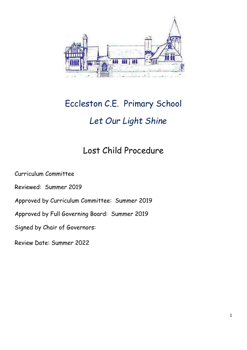

# Eccleston C.E. Primary School *Let Our Light Shine*

## Lost Child Procedure

Curriculum Committee

Reviewed: Summer 2019

Approved by Curriculum Committee: Summer 2019

Approved by Full Governing Board: Summer 2019

Signed by Chair of Governors:

Review Date: Summer 2022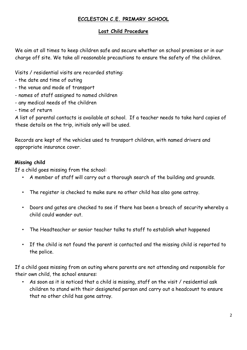### **ECCLESTON C.E. PRIMARY SCHOOL**

#### **Lost Child Procedure**

We aim at all times to keep children safe and secure whether on school premises or in our charge off site. We take all reasonable precautions to ensure the safety of the children.

Visits / residential visits are recorded stating:

- the date and time of outing
- the venue and mode of transport
- names of staff assigned to named children
- any medical needs of the children
- time of return

A list of parental contacts is available at school. If a teacher needs to take hard copies of these details on the trip, initials only will be used.

Records are kept of the vehicles used to transport children, with named drivers and appropriate insurance cover.

#### **Missing child**

If a child goes missing from the school:

- A member of staff will carry out a thorough search of the building and grounds.
- The register is checked to make sure no other child has also gone astray.
- Doors and gates are checked to see if there has been a breach of security whereby a child could wander out.
- The Headteacher or senior teacher talks to staff to establish what happened
- If the child is not found the parent is contacted and the missing child is reported to the police.

If a child goes missing from an outing where parents are not attending and responsible for their own child, the school ensures:

• As soon as it is noticed that a child is missing, staff on the visit / residential ask children to stand with their designated person and carry out a headcount to ensure that no other child has gone astray.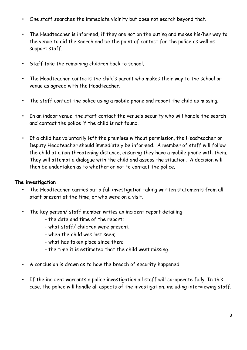- One staff searches the immediate vicinity but does not search beyond that.
- The Headteacher is informed, if they are not on the outing and makes his/her way to the venue to aid the search and be the point of contact for the police as well as support staff.
- Staff take the remaining children back to school.
- The Headteacher contacts the child's parent who makes their way to the school or venue as agreed with the Headteacher.
- The staff contact the police using a mobile phone and report the child as missing.
- In an indoor venue, the staff contact the venue's security who will handle the search and contact the police if the child is not found.
- If a child has voluntarily left the premises without permission, the Headteacher or Deputy Headteacher should immediately be informed. A member of staff will follow the child at a non threatening distance, ensuring they have a mobile phone with them. They will attempt a dialogue with the child and assess the situation. A decision will then be undertaken as to whether or not to contact the police.

#### **The investigation**

- The Headteacher carries out a full investigation taking written statements from all staff present at the time, or who were on a visit.
- The key person/ staff member writes an incident report detailing:
	- the date and time of the report;
	- what staff/ children were present;
	- when the child was last seen;
	- what has taken place since then;
	- the time it is estimated that the child went missing.
- A conclusion is drawn as to how the breach of security happened.
- If the incident warrants a police investigation all staff will co-operate fully. In this case, the police will handle all aspects of the investigation, including interviewing staff.